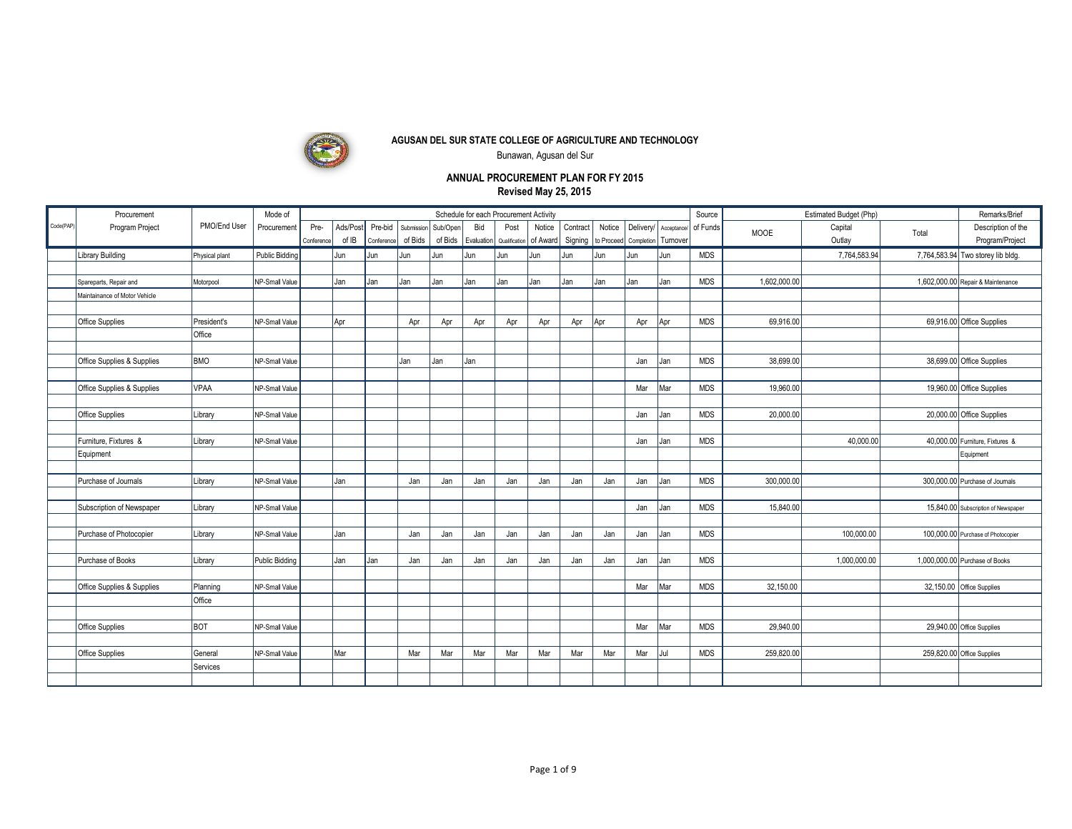

Bunawan, Agusan del Sur

|          | Procurement                   |                | Mode of               | Schedule for each Procurement Activity<br>Estimated Budget (Php)<br>Source |          |            |            |          |     |                                   |        |          |            |            |          | Remarks/Brief        |              |              |       |                                     |
|----------|-------------------------------|----------------|-----------------------|----------------------------------------------------------------------------|----------|------------|------------|----------|-----|-----------------------------------|--------|----------|------------|------------|----------|----------------------|--------------|--------------|-------|-------------------------------------|
| Code(PAP | Program Project               | PMO/End User   | Procurement           | Pre-                                                                       | Ads/Post | Pre-bid    | Submission | Sub/Open | Bid | Post                              | Notice | Contract | Notice     | Deliverv/  |          | Acceptance/ of Funds | <b>MOOE</b>  | Capital      | Total | Description of the                  |
|          |                               |                |                       | Conference                                                                 | of IB    | Conference | of Bids    | of Bids  |     | Evaluation Qualification of Award |        | Signing  | to Proceed | Completion | Turnover |                      |              | Outlay       |       | Program/Project                     |
|          | <b>Library Building</b>       | Physical plant | Public Bidding        |                                                                            | Jun      | Jun        | Jun        | Jun      | Jun | Jun                               | l Jun  | Jun      | Jun        | Jun        | Jun      | <b>MDS</b>           |              | 7,764,583.94 |       | 7,764,583.94 Two storey lib bldg.   |
|          |                               |                |                       |                                                                            |          |            |            |          |     |                                   |        |          |            |            |          |                      |              |              |       |                                     |
|          | Spareparts, Repair and        | Motorpool      | NP-Small Value        |                                                                            | Jan      | Jan        | Jan        | Jan      | Jan | Jan                               | l Jan  | Jan      | Jan        | Jan        | Jan      | <b>MDS</b>           | 1,602,000.00 |              |       | 1,602,000.00 Repair & Maintenance   |
|          | Maintainance of Motor Vehicle |                |                       |                                                                            |          |            |            |          |     |                                   |        |          |            |            |          |                      |              |              |       |                                     |
|          |                               |                |                       |                                                                            |          |            |            |          |     |                                   |        |          |            |            |          |                      |              |              |       |                                     |
|          | Office Supplies               | President's    | NP-Small Value        |                                                                            | Apr      |            | Apr        | Apr      | Apr | Apr                               | Apr    | Apr      | Apr        | Apr        | Apr      | <b>MDS</b>           | 69,916.00    |              |       | 69,916.00 Office Supplies           |
|          |                               | Office         |                       |                                                                            |          |            |            |          |     |                                   |        |          |            |            |          |                      |              |              |       |                                     |
|          |                               |                |                       |                                                                            |          |            |            |          |     |                                   |        |          |            |            |          |                      |              |              |       |                                     |
|          | Office Supplies & Supplies    | <b>BMO</b>     | NP-Small Value        |                                                                            |          |            | Jan        | Jan      | Jan |                                   |        |          |            | Jan        | Jan      | <b>MDS</b>           | 38,699.00    |              |       | 38,699.00 Office Supplies           |
|          | Office Supplies & Supplies    | <b>VPAA</b>    | NP-Small Value        |                                                                            |          |            |            |          |     |                                   |        |          |            | Mar        | Mar      | <b>MDS</b>           | 19,960.00    |              |       | 19,960.00 Office Supplies           |
|          |                               |                |                       |                                                                            |          |            |            |          |     |                                   |        |          |            |            |          |                      |              |              |       |                                     |
|          | <b>Office Supplies</b>        | Library        | NP-Small Value        |                                                                            |          |            |            |          |     |                                   |        |          |            | Jan        | Jan      | <b>MDS</b>           | 20,000.0     |              |       | 20,000.00 Office Supplies           |
|          |                               |                |                       |                                                                            |          |            |            |          |     |                                   |        |          |            |            |          |                      |              |              |       |                                     |
|          | Furniture, Fixtures &         | Library        | NP-Small Value        |                                                                            |          |            |            |          |     |                                   |        |          |            | Jan        | Jan      | <b>MDS</b>           |              | 40,000.00    |       | 40.000.00 Furniture. Fixtures &     |
|          | Equipment                     |                |                       |                                                                            |          |            |            |          |     |                                   |        |          |            |            |          |                      |              |              |       | Equipment                           |
|          |                               |                |                       |                                                                            |          |            |            |          |     |                                   |        |          |            |            |          |                      |              |              |       |                                     |
|          | Purchase of Journals          | Library        | NP-Small Value        |                                                                            | Jan      |            | Jan        | Jan      | Jan | Jan                               | Jan    | Jan      | Jan        | Jan        | Jan      | <b>MDS</b>           | 300,000.00   |              |       | 300,000.00 Purchase of Journals     |
|          |                               |                |                       |                                                                            |          |            |            |          |     |                                   |        |          |            |            |          |                      |              |              |       |                                     |
|          | Subscription of Newspaper     | Library        | NP-Small Value        |                                                                            |          |            |            |          |     |                                   |        |          |            | Jan        | Jan      | <b>MDS</b>           | 15,840.00    |              |       | 15,840.00 Subscription of Newspaper |
|          |                               |                |                       |                                                                            |          |            |            |          |     |                                   |        |          |            |            |          |                      |              |              |       |                                     |
|          | Purchase of Photocopier       | Library        | NP-Small Value        |                                                                            | Jan      |            | Jan        | Jan      | Jan | Jan                               | Jan    | Jan      | Jan        | Jan        | Jan      | <b>MDS</b>           |              | 100.000.00   |       | 100,000.00 Purchase of Photocopier  |
|          |                               |                |                       |                                                                            |          |            |            |          |     |                                   |        |          |            |            |          |                      |              |              |       |                                     |
|          | Purchase of Books             | Library        | <b>Public Bidding</b> |                                                                            | Jan      | Jan        | Jan        | Jan      | Jan | Jan                               | Jan    | Jan      | Jan        | Jan        | Jan      | <b>MDS</b>           |              | 1,000,000.00 |       | 1,000,000.00 Purchase of Books      |
|          |                               |                |                       |                                                                            |          |            |            |          |     |                                   |        |          |            |            |          |                      |              |              |       |                                     |
|          | Office Supplies & Supplies    | Planning       | NP-Small Value        |                                                                            |          |            |            |          |     |                                   |        |          |            | Mar        | Mar      | <b>MDS</b>           | 32,150.00    |              |       | 32,150.00 Office Supplies           |
|          |                               | Office         |                       |                                                                            |          |            |            |          |     |                                   |        |          |            |            |          |                      |              |              |       |                                     |
|          | Office Supplies               | <b>BOT</b>     |                       |                                                                            |          |            |            |          |     |                                   |        |          |            | Mar        |          | <b>MDS</b>           | 29,940.00    |              |       | 29,940.00 Office Supplies           |
|          |                               |                | NP-Small Value        |                                                                            |          |            |            |          |     |                                   |        |          |            |            | Mar      |                      |              |              |       |                                     |
|          | Office Supplies               | General        | NP-Small Value        |                                                                            | Mar      |            | Mar        | Mar      | Mar | Mar                               | Mar    | Mar      | Mar        | Mar        | Jul      | <b>MDS</b>           | 259,820.00   |              |       | 259,820.00 Office Supplies          |
|          |                               | Services       |                       |                                                                            |          |            |            |          |     |                                   |        |          |            |            |          |                      |              |              |       |                                     |
|          |                               |                |                       |                                                                            |          |            |            |          |     |                                   |        |          |            |            |          |                      |              |              |       |                                     |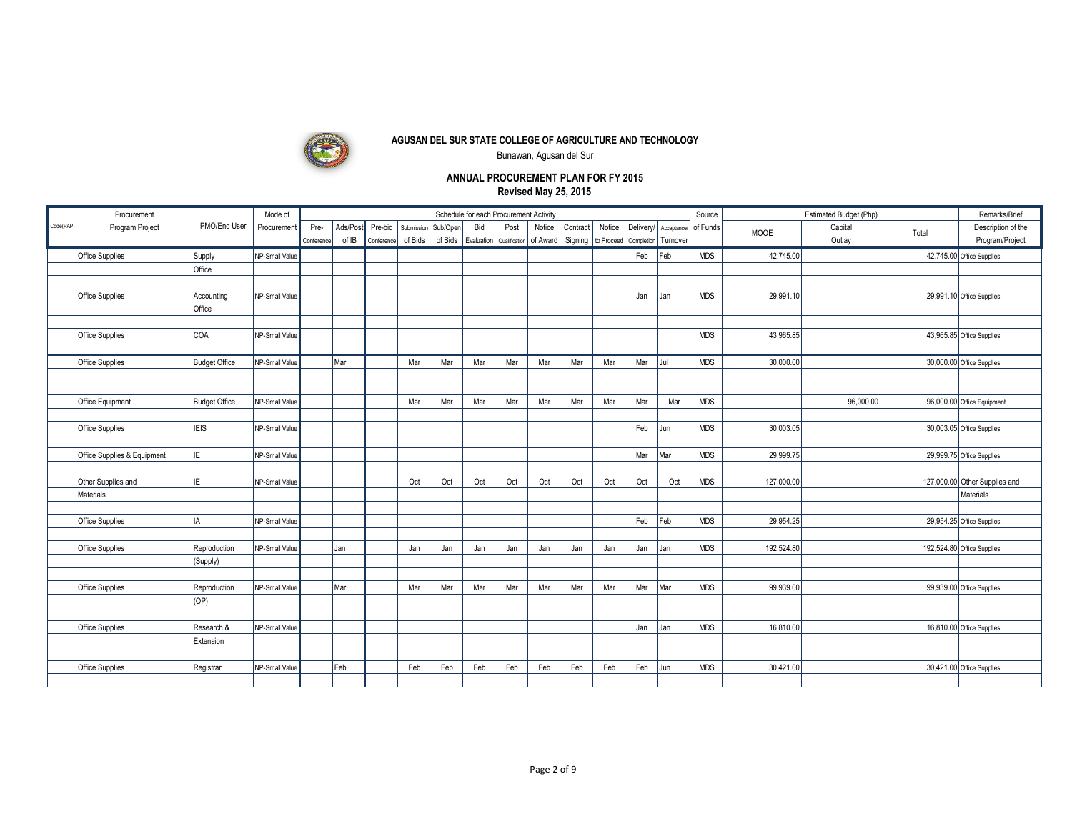

Bunawan, Agusan del Sur

|           | Procurement                 |                      | Mode of        |            |          |            |            |          |     | Schedule for each Procurement Activity          |        |                    |        |            |             | Source     |             | Estimated Budget (Php) |       | Remarks/Brief                 |
|-----------|-----------------------------|----------------------|----------------|------------|----------|------------|------------|----------|-----|-------------------------------------------------|--------|--------------------|--------|------------|-------------|------------|-------------|------------------------|-------|-------------------------------|
| Code(PAP) | Program Project             | PMO/End User         | Procurement    | Pre-       | Ads/Post | Pre-bid    | Submission | Sub/Open | Bid | Post                                            | Notice | Contract           | Notice | Deliverv/  | Acceptance/ | of Funds   | <b>MOOE</b> | Capital                | Total | Description of the            |
|           |                             |                      |                | Conference | of IB    | Conference | of Bids    |          |     | of Bids   Evaluation   Qualification   of Award |        | Signing to Proceed |        | Completion | Turnover    |            |             | Outlay                 |       | Program/Project               |
|           | Office Supplies             | Supply               | NP-Small Value |            |          |            |            |          |     |                                                 |        |                    |        | Feb        | Feb         | <b>MDS</b> | 42,745.00   |                        |       | 42,745.00 Office Supplies     |
|           |                             | Office               |                |            |          |            |            |          |     |                                                 |        |                    |        |            |             |            |             |                        |       |                               |
|           |                             |                      |                |            |          |            |            |          |     |                                                 |        |                    |        |            |             |            |             |                        |       |                               |
|           | Office Supplies             | Accounting           | NP-Small Value |            |          |            |            |          |     |                                                 |        |                    |        | Jan        | Jan         | <b>MDS</b> | 29,991.10   |                        |       | 29,991.10 Office Supplies     |
|           |                             | Office               |                |            |          |            |            |          |     |                                                 |        |                    |        |            |             |            |             |                        |       |                               |
|           |                             |                      |                |            |          |            |            |          |     |                                                 |        |                    |        |            |             |            |             |                        |       |                               |
|           | Office Supplies             | <b>COA</b>           | NP-Small Value |            |          |            |            |          |     |                                                 |        |                    |        |            |             | <b>MDS</b> | 43,965.85   |                        |       | 43,965.85 Office Supplies     |
|           |                             |                      |                |            |          |            |            |          |     |                                                 |        |                    |        |            |             |            |             |                        |       |                               |
|           | Office Supplies             | <b>Budget Office</b> | NP-Small Value |            | Mar      |            | Mar        | Mar      | Mar | Mar                                             | Mar    | Mar                | Mar    | Mar        | Jul         | <b>MDS</b> | 30,000.00   |                        |       | 30,000.00 Office Supplies     |
|           |                             |                      |                |            |          |            |            |          |     |                                                 |        |                    |        |            |             |            |             |                        |       |                               |
|           |                             |                      |                |            |          |            |            |          |     |                                                 |        |                    |        |            |             |            |             |                        |       |                               |
|           | Office Equipment            | <b>Budget Office</b> | NP-Small Value |            |          |            | Mar        | Mar      | Mar | Mar                                             | Mar    | Mar                | Mar    | Mar        | Mar         | <b>MDS</b> |             | 96,000.00              |       | 96,000.00 Office Equipment    |
|           |                             |                      |                |            |          |            |            |          |     |                                                 |        |                    |        |            |             |            |             |                        |       |                               |
|           | Office Supplies             | Iieis                | NP-Small Value |            |          |            |            |          |     |                                                 |        |                    |        | Feb        | Jun         | <b>MDS</b> | 30,003.05   |                        |       | 30,003.05 Office Supplies     |
|           |                             |                      |                |            |          |            |            |          |     |                                                 |        |                    |        |            |             |            |             |                        |       |                               |
|           | Office Supplies & Equipment | lie.                 | NP-Small Value |            |          |            |            |          |     |                                                 |        |                    |        | Mar        | Mar         | <b>MDS</b> | 29,999.75   |                        |       | 29,999.75 Office Supplies     |
|           | Other Supplies and          | lıE.                 | NP-Small Value |            |          |            | Oct        | Oct      | Oct | Oct                                             | Oct    | Oct                | Oct    | Oct        | Oct         | <b>MDS</b> | 127,000.00  |                        |       | 127,000.00 Other Supplies and |
|           | Materials                   |                      |                |            |          |            |            |          |     |                                                 |        |                    |        |            |             |            |             |                        |       | Materials                     |
|           |                             |                      |                |            |          |            |            |          |     |                                                 |        |                    |        |            |             |            |             |                        |       |                               |
|           | Office Supplies             | lia.                 | NP-Small Value |            |          |            |            |          |     |                                                 |        |                    |        | Feb        | Feb         | <b>MDS</b> | 29,954.25   |                        |       | 29,954.25 Office Supplies     |
|           |                             |                      |                |            |          |            |            |          |     |                                                 |        |                    |        |            |             |            |             |                        |       |                               |
|           | Office Supplies             | Reproduction         | NP-Small Value |            | Jan      |            | Jan        | Jan      | Jan | Jan                                             | Jan    | Jan                | Jan    | Jan        | Jan         | <b>MDS</b> | 192.524.80  |                        |       | 192,524.80 Office Supplies    |
|           |                             | (Supply)             |                |            |          |            |            |          |     |                                                 |        |                    |        |            |             |            |             |                        |       |                               |
|           |                             |                      |                |            |          |            |            |          |     |                                                 |        |                    |        |            |             |            |             |                        |       |                               |
|           | Office Supplies             | Reproduction         | NP-Small Value |            | l Mar    |            | Mar        | Mar      | Mar | Mar                                             | Mar    | Mar                | Mar    | Mar        | Mar         | <b>MDS</b> | 99,939.00   |                        |       | 99,939.00 Office Supplies     |
|           |                             | (OP)                 |                |            |          |            |            |          |     |                                                 |        |                    |        |            |             |            |             |                        |       |                               |
|           |                             |                      |                |            |          |            |            |          |     |                                                 |        |                    |        |            |             |            |             |                        |       |                               |
|           | Office Supplies             | Research &           | NP-Small Value |            |          |            |            |          |     |                                                 |        |                    |        | Jan        | Jan         | <b>MDS</b> | 16,810.00   |                        |       | 16,810.00 Office Supplies     |
|           |                             | Extension            |                |            |          |            |            |          |     |                                                 |        |                    |        |            |             |            |             |                        |       |                               |
|           |                             |                      |                |            |          |            |            |          |     |                                                 |        |                    |        |            |             |            |             |                        |       |                               |
|           | Office Supplies             | Registrar            | NP-Small Value |            | Feb      |            | Feb        | Feb      | Feb | Feb                                             | Feb    | Feb                | Feb    | Feb        | Jun         | <b>MDS</b> | 30,421.00   |                        |       | 30,421.00 Office Supplies     |
|           |                             |                      |                |            |          |            |            |          |     |                                                 |        |                    |        |            |             |            |             |                        |       |                               |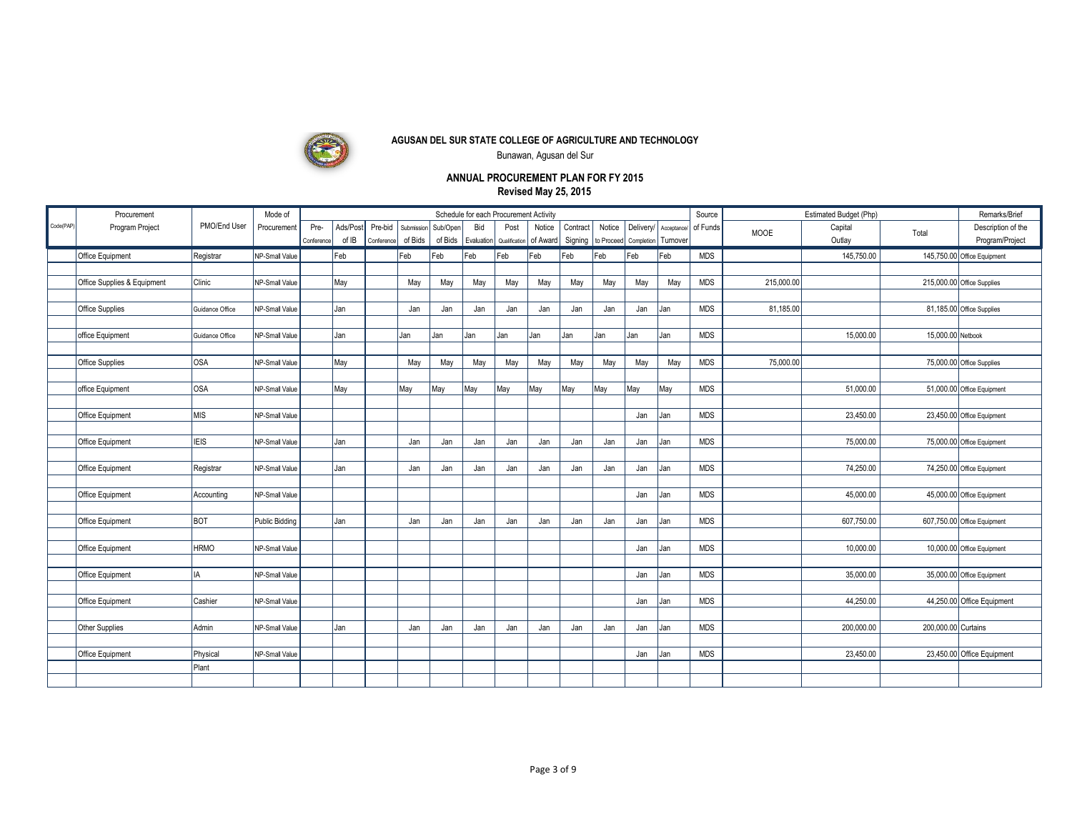

Bunawan, Agusan del Sur

|           | Procurement                 |                 | Mode of        |            |          |            |            |          |            | Schedule for each Procurement Activity |          |          |            |            |             | Source     |             | Estimated Budget (Php) |                     | Remarks/Brief               |
|-----------|-----------------------------|-----------------|----------------|------------|----------|------------|------------|----------|------------|----------------------------------------|----------|----------|------------|------------|-------------|------------|-------------|------------------------|---------------------|-----------------------------|
| Code(PAP) | Program Project             | PMO/End User    | Procurement    | Pre-       | Ads/Post | Pre-bid    | Submission | Sub/Open | Bid        | Post                                   | Notice   | Contract | Notice     | Deliverv/  | Acceptance/ | of Funds   | <b>MOOE</b> | Capital                | Total               | Description of the          |
|           |                             |                 |                | Conference | of IB    | Conference | of Bids    | of Bids  | Evaluation | Qualification                          | of Award | Signing  | to Proceed | Completion | Turnover    |            |             | Outlay                 |                     | Program/Project             |
|           | Office Equipment            | Registrar       | NP-Small Value |            | Feb      |            | Feb        | Feb      | Feb        | Feb                                    | Feb      | Feb      | Feb        | Feb        | Feb         | <b>MDS</b> |             | 145,750.00             |                     | 145,750.00 Office Equipment |
|           |                             |                 |                |            |          |            |            |          |            |                                        |          |          |            |            |             |            |             |                        |                     |                             |
|           | Office Supplies & Equipment | Clinic          | NP-Small Value |            | May      |            | May        | May      | May        | May                                    | May      | May      | Mav        | Mav        | May         | <b>MDS</b> | 215,000.00  |                        |                     | 215,000.00 Office Supplies  |
|           |                             |                 |                |            |          |            |            |          |            |                                        |          |          |            |            |             |            |             |                        |                     |                             |
|           | Office Supplies             | Guidance Office | NP-Small Value |            | Jan      |            | Jan        | Jan      | Jan        | Jan                                    | Jan      | Jan      | Jan        | Jan        | Jan         | <b>MDS</b> | 81,185.00   |                        |                     | 81,185.00 Office Supplies   |
|           | office Equipment            | Guidance Office | NP-Small Value |            | Jan      |            | Jan        | Jan      | Jan        | Jan                                    | Jan      | Jan      | Jan        | Jan        | Jan         | <b>MDS</b> |             | 15,000.00              | 15,000.00 Netbook   |                             |
|           |                             |                 |                |            |          |            |            |          |            |                                        |          |          |            |            |             |            |             |                        |                     |                             |
|           | Office Supplies             | losa            | NP-Small Value |            | May      |            | May        | May      | May        | May                                    | May      | May      | May        | May        | May         | <b>MDS</b> | 75,000.00   |                        |                     | 75,000.00 Office Supplies   |
|           |                             |                 |                |            |          |            |            |          |            |                                        |          |          |            |            |             |            |             |                        |                     |                             |
|           | office Equipment            | OSA             | NP-Small Value |            | May      |            | May        | May      | May        | May                                    | May      | May      | May        | May        | May         | <b>MDS</b> |             | 51,000.00              |                     | 51,000.00 Office Equipment  |
|           |                             |                 |                |            |          |            |            |          |            |                                        |          |          |            |            |             |            |             |                        |                     |                             |
|           | Office Equipment            | Іміs            | NP-Small Value |            |          |            |            |          |            |                                        |          |          |            | Jan        | Jan         | <b>MDS</b> |             | 23,450.00              |                     | 23,450.00 Office Equipment  |
|           |                             |                 |                |            |          |            |            |          |            |                                        |          |          |            |            |             |            |             |                        |                     |                             |
|           | Office Equipment            | <b>IEIS</b>     | NP-Small Value |            | Jan      |            | Jan        | Jan      | Jan        | Jan                                    | Jan      | Jan      | Jan        | Jan        | Jan         | <b>MDS</b> |             | 75,000.00              |                     | 75,000.00 Office Equipment  |
|           | Office Equipment            | Registrar       | NP-Small Value |            | Jan      |            | Jan        | Jan      | Jan        | Jan                                    | Jan      | Jan      | Jan        | Jan        | Jan         | <b>MDS</b> |             | 74,250.00              |                     | 74,250.00 Office Equipment  |
|           |                             |                 |                |            |          |            |            |          |            |                                        |          |          |            |            |             |            |             |                        |                     |                             |
|           | Office Equipment            | Accounting      | NP-Small Value |            |          |            |            |          |            |                                        |          |          |            | Jan        | Jan         | <b>MDS</b> |             | 45.000.00              |                     | 45,000.00 Office Equipment  |
|           |                             |                 |                |            |          |            |            |          |            |                                        |          |          |            |            |             |            |             |                        |                     |                             |
|           | Office Equipment            | Івот            | Public Bidding |            | Jan      |            | Jan        | Jan      | Jan        | Jan                                    | Jan      | Jan      | Jan        | Jan        | Jan         | <b>MDS</b> |             | 607,750.00             |                     | 607,750.00 Office Equipment |
|           |                             |                 |                |            |          |            |            |          |            |                                        |          |          |            |            |             |            |             |                        |                     |                             |
|           | Office Equipment            | <b>HRMO</b>     | NP-Small Value |            |          |            |            |          |            |                                        |          |          |            | Jan        | Jan         | <b>MDS</b> |             | 10,000.00              |                     | 10,000.00 Office Equipment  |
|           |                             |                 |                |            |          |            |            |          |            |                                        |          |          |            |            |             |            |             |                        |                     |                             |
|           | Office Equipment            | lıa.            | NP-Small Value |            |          |            |            |          |            |                                        |          |          |            | Jan        | Jan         | <b>MDS</b> |             | 35,000.00              |                     | 35,000.00 Office Equipment  |
|           | Office Equipment            | Cashier         | NP-Small Value |            |          |            |            |          |            |                                        |          |          |            | Jan        | Jan         | <b>MDS</b> |             | 44,250.00              |                     | 44,250.00 Office Equipment  |
|           |                             |                 |                |            |          |            |            |          |            |                                        |          |          |            |            |             |            |             |                        |                     |                             |
|           | Other Supplies              | Admin           | NP-Small Value |            | Jan      |            | Jan        | Jan      | Jan        | Jan                                    | Jan      | Jan      | Jan        | Jan        | Jan         | <b>MDS</b> |             | 200.000.00             | 200.000.00 Curtains |                             |
|           |                             |                 |                |            |          |            |            |          |            |                                        |          |          |            |            |             |            |             |                        |                     |                             |
|           | Office Equipment            | Physical        | NP-Small Value |            |          |            |            |          |            |                                        |          |          |            | Jan        | Jan         | <b>MDS</b> |             | 23,450.00              |                     | 23,450.00 Office Equipment  |
|           |                             | Plant           |                |            |          |            |            |          |            |                                        |          |          |            |            |             |            |             |                        |                     |                             |
|           |                             |                 |                |            |          |            |            |          |            |                                        |          |          |            |            |             |            |             |                        |                     |                             |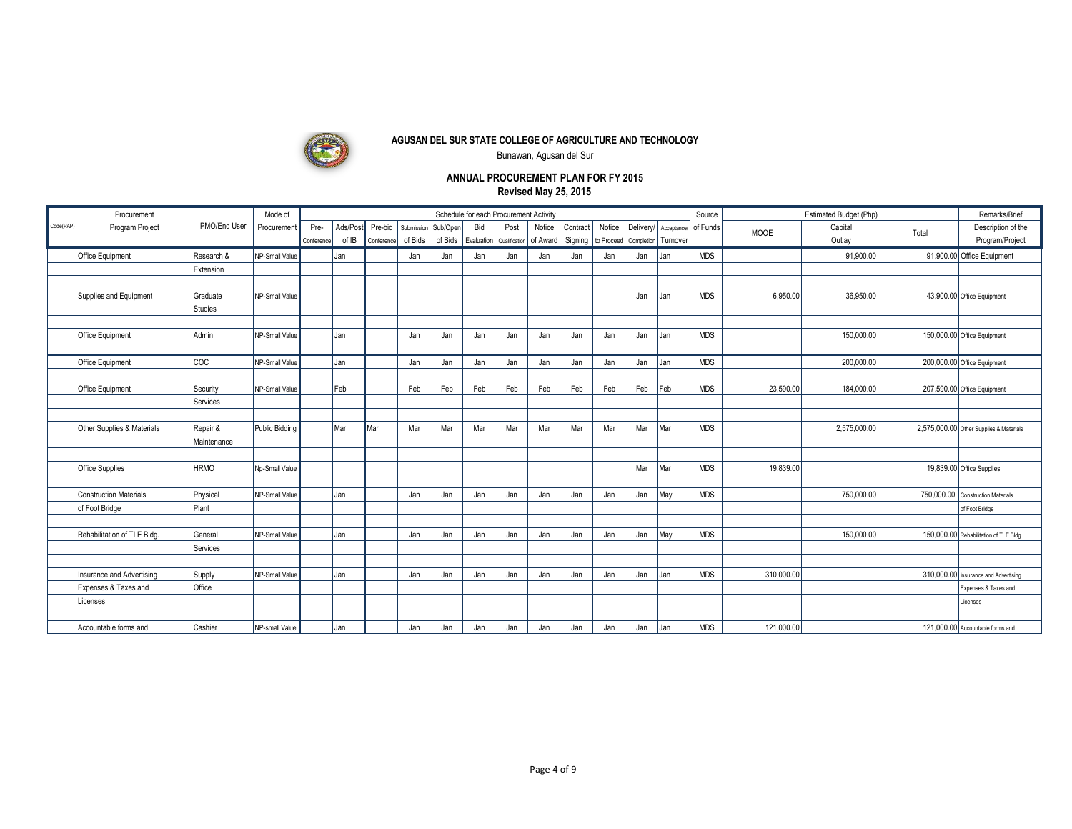

Bunawan, Agusan del Sur

|          | Procurement                   |              | Mode of               |                    |                   |                       |                       |                     |     | Schedule for each Procurement Activity    |        |                     |        |                                    |                        | Source     |             | Estimated Budget (Php) |       | Remarks/Brief                           |
|----------|-------------------------------|--------------|-----------------------|--------------------|-------------------|-----------------------|-----------------------|---------------------|-----|-------------------------------------------|--------|---------------------|--------|------------------------------------|------------------------|------------|-------------|------------------------|-------|-----------------------------------------|
| Code(PAP | Program Project               | PMO/End User | Procurement           | Pre-<br>Conference | Ads/Post<br>of IB | Pre-bid<br>Conference | Submission<br>of Bids | Sub/Open<br>of Bids | Bid | Post<br>Evaluation Qualification of Award | Notice | Contract<br>Signing | Notice | Deliverv/<br>to Proceed Completion | Acceptance/<br>Tumover | of Funds   | <b>MOOE</b> | Capital<br>Outlay      | Total | Description of the<br>Program/Project   |
|          | <b>Office Equipment</b>       | Research &   | NP-Small Value        |                    | Jan               |                       | Jan                   | Jan                 | Jan | Jan                                       | Jan    | Jan                 | Jan    | Jan                                | Jan                    | <b>MDS</b> |             | 91,900.00              |       | 91,900.00 Office Equipment              |
|          |                               | Extension    |                       |                    |                   |                       |                       |                     |     |                                           |        |                     |        |                                    |                        |            |             |                        |       |                                         |
|          |                               |              |                       |                    |                   |                       |                       |                     |     |                                           |        |                     |        |                                    |                        |            |             |                        |       |                                         |
|          | Supplies and Equipment        | Graduate     | NP-Small Value        |                    |                   |                       |                       |                     |     |                                           |        |                     |        | Jan                                | Jan                    | <b>MDS</b> | 6,950.0     | 36,950.00              |       | 43,900.00 Office Equipment              |
|          |                               | Studies      |                       |                    |                   |                       |                       |                     |     |                                           |        |                     |        |                                    |                        |            |             |                        |       |                                         |
|          |                               |              |                       |                    |                   |                       |                       |                     |     |                                           |        |                     |        |                                    |                        |            |             |                        |       |                                         |
|          | <b>Office Equipment</b>       | Admin        | NP-Small Value        |                    | Jan               |                       | Jan                   | Jan                 | Jan | Jan                                       | Jan    | Jan                 | Jan    | Jan                                | Jan                    | <b>MDS</b> |             | 150,000.00             |       | 150,000.00 Office Equipment             |
|          |                               |              |                       |                    |                   |                       |                       |                     |     |                                           |        |                     |        |                                    |                        |            |             |                        |       |                                         |
|          | Office Equipment              | <b>COC</b>   | NP-Small Value        |                    | Jan               |                       | Jan                   | Jan                 | Jan | Jan                                       | Jan    | Jan                 | Jan    | Jan                                | Jan                    | <b>MDS</b> |             | 200,000.00             |       | 200,000.00 Office Equipment             |
|          |                               |              |                       |                    |                   |                       |                       |                     |     |                                           |        |                     |        |                                    |                        |            |             |                        |       |                                         |
|          | Office Equipment              | Security     | NP-Small Value        |                    | Feb               |                       | Feb                   | Feb                 | Feb | Feb                                       | Feb    | Feb                 | Feb    | Feb                                | Feb                    | <b>MDS</b> | 23,590.0    | 184.000.00             |       | 207,590.00 Office Equipment             |
|          |                               | Services     |                       |                    |                   |                       |                       |                     |     |                                           |        |                     |        |                                    |                        |            |             |                        |       |                                         |
|          |                               |              |                       |                    |                   |                       |                       |                     |     |                                           |        |                     |        |                                    |                        |            |             |                        |       |                                         |
|          | Other Supplies & Materials    | Repair &     | <b>Public Bidding</b> |                    | Mar               | l Mar                 | Mar                   | Mar                 | Mar | Mar                                       | Mar    | Mar                 | Mar    | Mar                                | Mar                    | <b>MDS</b> |             | 2,575,000.00           |       | 2,575,000.00 Other Supplies & Materials |
|          |                               | Maintenance  |                       |                    |                   |                       |                       |                     |     |                                           |        |                     |        |                                    |                        |            |             |                        |       |                                         |
|          |                               |              |                       |                    |                   |                       |                       |                     |     |                                           |        |                     |        |                                    |                        |            |             |                        |       |                                         |
|          | Office Supplies               | <b>HRMO</b>  | No-Small Value        |                    |                   |                       |                       |                     |     |                                           |        |                     |        | Mar                                | Mar                    | <b>MDS</b> | 19,839.00   |                        |       | 19,839.00 Office Supplies               |
|          |                               |              |                       |                    |                   |                       |                       |                     |     |                                           |        |                     |        |                                    |                        |            |             |                        |       |                                         |
|          | <b>Construction Materials</b> | Physical     | NP-Small Value        |                    | Jan               |                       | Jan                   | Jan                 | Jan | Jan                                       | Jan    | Jan                 | Jan    | Jan                                | May                    | <b>MDS</b> |             | 750,000.00             |       | 750,000.00 Construction Materials       |
|          | of Foot Bridge                | Plant        |                       |                    |                   |                       |                       |                     |     |                                           |        |                     |        |                                    |                        |            |             |                        |       | of Foot Bridge                          |
|          |                               |              |                       |                    |                   |                       |                       |                     |     |                                           |        |                     |        |                                    |                        |            |             |                        |       |                                         |
|          | Rehabilitation of TLE Bldg.   | General      | NP-Small Value        |                    | Jan               |                       | Jan                   | Jan                 | Jan | Jan                                       | Jan    | Jan                 | Jan    | Jan                                | May                    | <b>MDS</b> |             | 150,000.00             |       | 150,000.00 Rehabilitation of TLE Bldg.  |
|          |                               | Services     |                       |                    |                   |                       |                       |                     |     |                                           |        |                     |        |                                    |                        |            |             |                        |       |                                         |
|          |                               |              |                       |                    |                   |                       |                       |                     |     |                                           |        |                     |        |                                    |                        |            |             |                        |       |                                         |
|          | Insurance and Advertising     | Supply       | NP-Small Value        |                    | Jan               |                       | Jan                   | Jan                 | Jan | Jan                                       | Jan    | Jan                 | Jan    | Jan                                | Jan                    | <b>MDS</b> | 310,000.0   |                        |       | 310,000.00 Insurance and Advertising    |
|          | Expenses & Taxes and          | Office       |                       |                    |                   |                       |                       |                     |     |                                           |        |                     |        |                                    |                        |            |             |                        |       | Expenses & Taxes and                    |
|          | Licenses                      |              |                       |                    |                   |                       |                       |                     |     |                                           |        |                     |        |                                    |                        |            |             |                        |       | icenses                                 |
|          |                               |              |                       |                    |                   |                       |                       |                     |     |                                           |        |                     |        |                                    |                        |            |             |                        |       |                                         |
|          | Accountable forms and         | Cashier      | NP-small Value        |                    | Jan               |                       | Jan                   | Jan                 | Jan | Jan                                       | Jan    | Jan                 | Jan    | Jan                                | Jan                    | <b>MDS</b> | 121,000.00  |                        |       | 121,000.00 Accountable forms and        |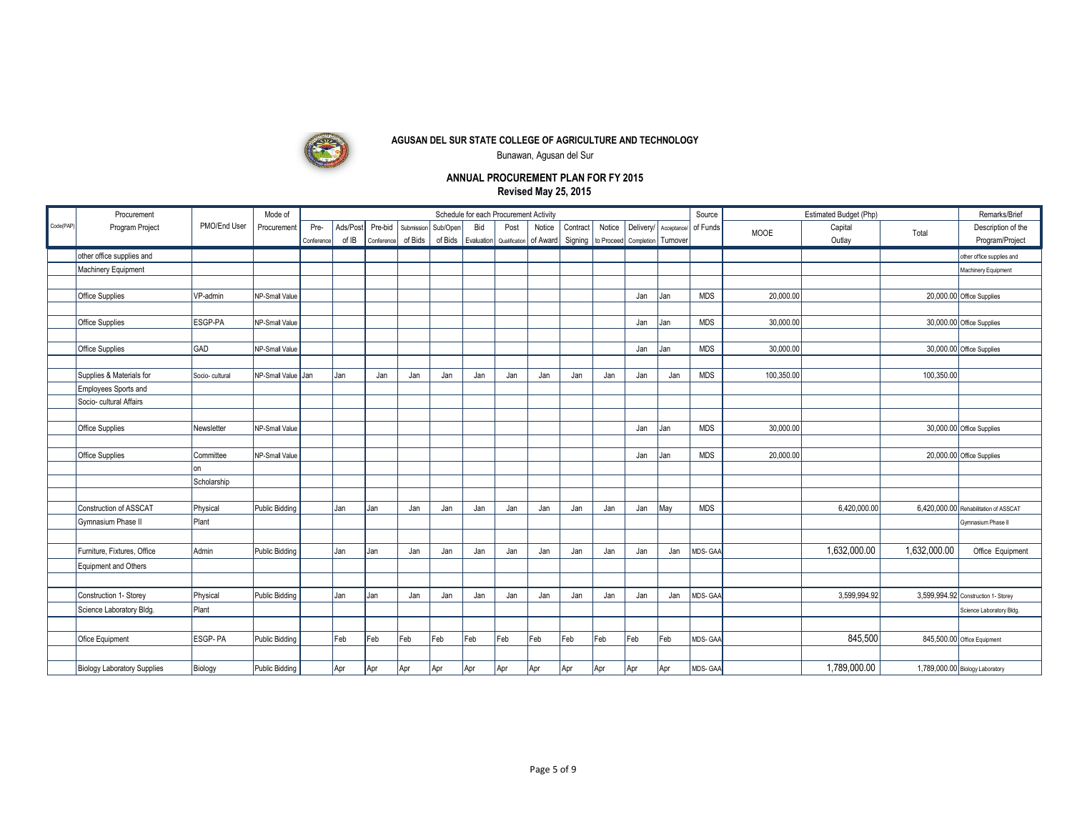

Bunawan, Agusan del Sur

|           | Procurement                        |                    | Mode of               |            |          |            |            |          |     | Schedule for each Procurement Activity |        |          |        |                                              |                      | Source     |             | Estimated Budget (Php) |              | Remarks/Brief                         |
|-----------|------------------------------------|--------------------|-----------------------|------------|----------|------------|------------|----------|-----|----------------------------------------|--------|----------|--------|----------------------------------------------|----------------------|------------|-------------|------------------------|--------------|---------------------------------------|
| Code(PAP) | Program Project                    | PMO/End User       | Procurement           | Pre-       | Ads/Post | Pre-bid    | Submission | Sub/Open | Bid | Post                                   | Notice | Contract | Notice | Delivery/                                    | Acceptance/ of Funds |            | <b>MOOE</b> | Capital                | Total        | Description of the                    |
|           |                                    |                    |                       | Conference | of IB    | Conference | of Bids    | of Bids  |     | Evaluation   Qualification   of Award  |        |          |        | Signing   to Proceed   Completion   Turnover |                      |            |             | Outlay                 |              | Program/Project                       |
|           | other office supplies and          |                    |                       |            |          |            |            |          |     |                                        |        |          |        |                                              |                      |            |             |                        |              | other office supplies and             |
|           | <b>Machinery Equipment</b>         |                    |                       |            |          |            |            |          |     |                                        |        |          |        |                                              |                      |            |             |                        |              | Machinery Equipment                   |
|           |                                    |                    |                       |            |          |            |            |          |     |                                        |        |          |        |                                              |                      |            |             |                        |              |                                       |
|           | Office Supplies                    | VP-admin           | NP-Small Value        |            |          |            |            |          |     |                                        |        |          |        | Jan                                          | Jan                  | <b>MDS</b> | 20,000.00   |                        |              | 20,000.00 Office Supplies             |
|           |                                    |                    |                       |            |          |            |            |          |     |                                        |        |          |        |                                              |                      |            |             |                        |              |                                       |
|           | Office Supplies                    | ESGP-PA            | NP-Small Value        |            |          |            |            |          |     |                                        |        |          |        | Jan                                          | Jan                  | <b>MDS</b> | 30,000.00   |                        |              | 30,000.00 Office Supplies             |
|           |                                    |                    |                       |            |          |            |            |          |     |                                        |        |          |        |                                              |                      |            |             |                        |              |                                       |
|           | Office Supplies                    | GAD                | NP-Small Value        |            |          |            |            |          |     |                                        |        |          |        | Jan                                          | Jan                  | <b>MDS</b> | 30,000.00   |                        |              | 30,000.00 Office Supplies             |
|           |                                    |                    |                       |            |          |            |            |          |     |                                        |        |          |        |                                              |                      |            |             |                        |              |                                       |
|           | Supplies & Materials for           | Socio-cultural     | NP-Small Value Jan    |            | Jan      | Jan        | Jan        | Jan      | Jan | Jan                                    | Jan    | Jan      | Jan    | Jan                                          | Jan                  | <b>MDS</b> | 100,350.00  |                        | 100,350.00   |                                       |
|           | Employees Sports and               |                    |                       |            |          |            |            |          |     |                                        |        |          |        |                                              |                      |            |             |                        |              |                                       |
|           | Socio- cultural Affairs            |                    |                       |            |          |            |            |          |     |                                        |        |          |        |                                              |                      |            |             |                        |              |                                       |
|           |                                    |                    |                       |            |          |            |            |          |     |                                        |        |          |        |                                              |                      |            |             |                        |              |                                       |
|           | Office Supplies                    | Newsletter         | NP-Small Value        |            |          |            |            |          |     |                                        |        |          |        | Jan                                          | Jan                  | <b>MDS</b> | 30,000.00   |                        |              | 30,000.00 Office Supplies             |
|           |                                    |                    |                       |            |          |            |            |          |     |                                        |        |          |        |                                              |                      |            |             |                        |              |                                       |
|           | Office Supplies                    | Committee          | NP-Small Value        |            |          |            |            |          |     |                                        |        |          |        | Jan                                          | Jan                  | <b>MDS</b> | 20,000.0    |                        |              | 20,000.00 Office Supplies             |
|           |                                    | lon<br>Scholarship |                       |            |          |            |            |          |     |                                        |        |          |        |                                              |                      |            |             |                        |              |                                       |
|           |                                    |                    |                       |            |          |            |            |          |     |                                        |        |          |        |                                              |                      |            |             |                        |              |                                       |
|           | Construction of ASSCAT             | Physical           | Public Bidding        |            | Jan      | Jan        | Jan        | Jan      | Jan | Jan                                    | Jan    | Jan      | Jan    | Jan                                          | May                  | <b>MDS</b> |             | 6,420,000.00           |              | 6,420,000.00 Rehabilitation of ASSCAT |
|           | <b>Gymnasium Phase II</b>          | Plant              |                       |            |          |            |            |          |     |                                        |        |          |        |                                              |                      |            |             |                        |              | Gymnasium Phase II                    |
|           |                                    |                    |                       |            |          |            |            |          |     |                                        |        |          |        |                                              |                      |            |             |                        |              |                                       |
|           | Furniture, Fixtures, Office        | Admin              | <b>Public Bidding</b> |            | Jan      | Jan        | Jan        | Jan      | Jan | Jan                                    | Jan    | Jan      | Jan    | Jan                                          | Jan                  | MDS-GAA    |             | 1,632,000.00           | 1,632,000.00 | Office Equipment                      |
|           | Equipment and Others               |                    |                       |            |          |            |            |          |     |                                        |        |          |        |                                              |                      |            |             |                        |              |                                       |
|           |                                    |                    |                       |            |          |            |            |          |     |                                        |        |          |        |                                              |                      |            |             |                        |              |                                       |
|           |                                    |                    |                       |            |          |            |            |          |     |                                        |        |          |        |                                              |                      |            |             |                        |              |                                       |
|           | Construction 1- Storey             | Physical           | <b>Public Bidding</b> |            | Jan      | Jan        | Jan        | Jan      | Jan | Jan                                    | Jan    | Jan      | Jan    | Jan                                          | Jan                  | MDS-GAA    |             | 3,599,994.92           |              | 3,599,994.92 Construction 1- Storey   |
|           | Science Laboratory Bldg.           | Plant              |                       |            |          |            |            |          |     |                                        |        |          |        |                                              |                      |            |             |                        |              | Science Laboratory Bldg.              |
|           |                                    |                    |                       |            |          |            |            |          |     |                                        |        |          |        |                                              |                      |            |             |                        |              |                                       |
|           | Ofice Equipment                    | <b>ESGP-PA</b>     | <b>Public Bidding</b> |            | Feb      | Feb        | Feb        | Feb      | Feb | Feb                                    | Feb    | Feb      | Feb    | Feb                                          | Feb                  | MDS-GAA    |             | 845,500                |              | 845,500.00 Office Equipment           |
|           |                                    |                    |                       |            |          |            |            |          |     |                                        |        |          |        |                                              |                      |            |             |                        |              |                                       |
|           | <b>Biology Laboratory Supplies</b> | Biology            | Public Bidding        |            | Apr      | Apr        | Apr        | Apr      | Apr | Apr                                    | Apr    | Apr      | Apr    | Apr                                          | Apr                  | MDS-GAA    |             | 1.789.000.00           |              | 1,789,000.00 Biology Laboratory       |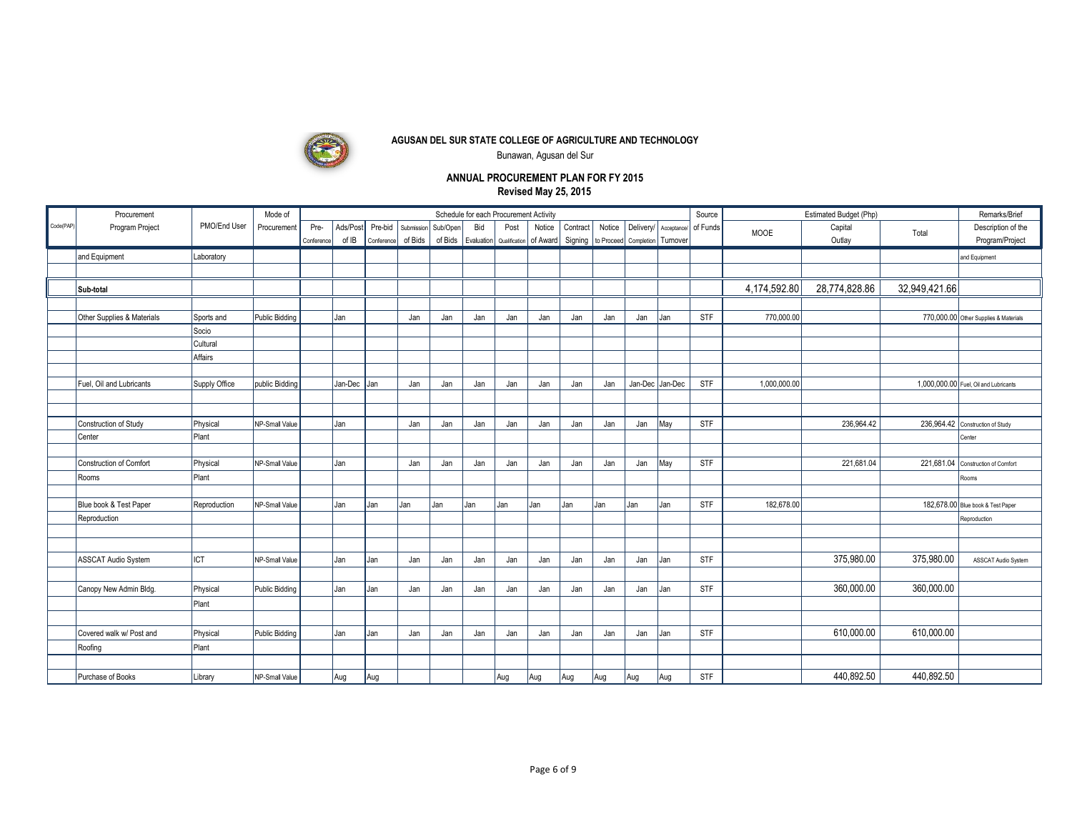

Bunawan, Agusan del Sur

|           |                            |               |                       |            |          |            |            |          |     |                                        |                                                           |          |        |                       |                 |                      |              |                        |               | Remarks/Brief                         |
|-----------|----------------------------|---------------|-----------------------|------------|----------|------------|------------|----------|-----|----------------------------------------|-----------------------------------------------------------|----------|--------|-----------------------|-----------------|----------------------|--------------|------------------------|---------------|---------------------------------------|
|           | Procurement                |               | Mode of               |            |          |            |            |          |     | Schedule for each Procurement Activity |                                                           |          |        |                       |                 | Source               |              | Estimated Budget (Php) |               |                                       |
| Code(PAP) | Program Project            | PMO/End User  | Procurement           | Pre-       | Ads/Post | Pre-bid    | Submission | Sub/Open | Bid | Post                                   | Notice                                                    | Contract | Notice | Delivery/             |                 | Acceptance/ of Funds | MOOE         | Capital                | Total         | Description of the                    |
|           |                            |               |                       | Conference | of IB    | Conference | of Bids    |          |     |                                        | of Bids   Evaluation   Qualification   of Award   Signing |          |        | to Proceed Completion | Turnover        |                      |              | Outlay                 |               | Program/Project                       |
|           | and Equipment              | Laboratory    |                       |            |          |            |            |          |     |                                        |                                                           |          |        |                       |                 |                      |              |                        |               | and Equipment                         |
|           |                            |               |                       |            |          |            |            |          |     |                                        |                                                           |          |        |                       |                 |                      |              |                        |               |                                       |
|           | Sub-total                  |               |                       |            |          |            |            |          |     |                                        |                                                           |          |        |                       |                 |                      | 4,174,592.80 | 28,774,828.86          | 32,949,421.66 |                                       |
|           |                            |               |                       |            |          |            |            |          |     |                                        |                                                           |          |        |                       |                 |                      |              |                        |               |                                       |
|           | Other Supplies & Materials | Sports and    | Public Bidding        |            | Jan      |            | Jan        | Jan      | Jan | Jan                                    | Jan                                                       | Jan      | Jan    | Jan                   | Jan             | STF                  | 770,000.00   |                        |               | 770,000.00 Other Supplies & Materials |
|           |                            | Socio         |                       |            |          |            |            |          |     |                                        |                                                           |          |        |                       |                 |                      |              |                        |               |                                       |
|           |                            | Cultural      |                       |            |          |            |            |          |     |                                        |                                                           |          |        |                       |                 |                      |              |                        |               |                                       |
|           |                            | Affairs       |                       |            |          |            |            |          |     |                                        |                                                           |          |        |                       |                 |                      |              |                        |               |                                       |
|           |                            |               |                       |            |          |            |            |          |     |                                        |                                                           |          |        |                       |                 |                      |              |                        |               |                                       |
|           | Fuel, Oil and Lubricants   | Supply Office | public Bidding        |            | Jan-Dec  | Jan        | Jan        | Jan      | Jan | Jan                                    | Jan                                                       | Jan      | Jan    |                       | Jan-Dec Jan-Dec | STF                  | 1,000,000.00 |                        |               | 1,000,000.00 Fuel, Oil and Lubricants |
|           |                            |               |                       |            |          |            |            |          |     |                                        |                                                           |          |        |                       |                 |                      |              |                        |               |                                       |
|           |                            |               |                       |            |          |            |            |          |     |                                        |                                                           |          |        |                       |                 |                      |              |                        |               |                                       |
|           | Construction of Study      | Physical      | NP-Small Value        |            | Jan      |            | Jan        | Jan      | Jan | Jan                                    | Jan                                                       | Jan      | Jan    | Jan                   | May             | <b>STF</b>           |              | 236,964.42             |               | 236,964.42 Construction of Study      |
|           | Center                     | Plant         |                       |            |          |            |            |          |     |                                        |                                                           |          |        |                       |                 |                      |              |                        |               | Center                                |
|           |                            |               |                       |            |          |            |            |          |     |                                        |                                                           |          |        |                       |                 |                      |              |                        |               |                                       |
|           | Construction of Comfort    | Physical      | NP-Small Value        |            | Jan      |            | Jan        | Jan      | Jan | Jan                                    | Jan                                                       | Jan      | Jan    | Jan                   | May             | STF                  |              | 221,681.04             |               | 221,681.04 Construction of Comfort    |
|           | Rooms                      | Plant         |                       |            |          |            |            |          |     |                                        |                                                           |          |        |                       |                 |                      |              |                        |               | Rooms                                 |
|           |                            |               |                       |            |          |            |            |          |     |                                        |                                                           |          |        |                       |                 |                      |              |                        |               |                                       |
|           | Blue book & Test Paper     | Reproduction  | NP-Small Value        |            | Jan      | Jan        | Jan        | Jan      | Jan | Jan                                    | Jan                                                       | Jan      | Jan    | Jan                   | Jan             | STF                  | 182,678.00   |                        |               | 182,678.00 Blue book & Test Paper     |
|           | Reproduction               |               |                       |            |          |            |            |          |     |                                        |                                                           |          |        |                       |                 |                      |              |                        |               | Reproduction                          |
|           |                            |               |                       |            |          |            |            |          |     |                                        |                                                           |          |        |                       |                 |                      |              |                        |               |                                       |
|           |                            |               |                       |            |          |            |            |          |     |                                        |                                                           |          |        |                       |                 |                      |              |                        |               |                                       |
|           | <b>ASSCAT Audio System</b> | <b>I</b> ICT  | NP-Small Value        |            | Jan      | Jan        | Jan        | Jan      | Jan | Jan                                    | Jan                                                       | Jan      | Jan    | Jan                   | Jan             | STF                  |              | 375,980.00             | 375,980.00    | ASSCAT Audio System                   |
|           |                            |               |                       |            |          |            |            |          |     |                                        |                                                           |          |        |                       |                 |                      |              |                        |               |                                       |
|           | Canopy New Admin Bldg.     | Physical      | Public Bidding        |            | Jan      | Jan        | Jan        | Jan      | Jan | Jan                                    | Jan                                                       | Jan      | Jan    | Jan                   | Jan             | <b>STF</b>           |              | 360.000.00             | 360,000.00    |                                       |
|           |                            | Plant         |                       |            |          |            |            |          |     |                                        |                                                           |          |        |                       |                 |                      |              |                        |               |                                       |
|           |                            |               |                       |            |          |            |            |          |     |                                        |                                                           |          |        |                       |                 |                      |              |                        |               |                                       |
|           | Covered walk w/ Post and   | Physical      | <b>Public Bidding</b> |            | Jan      | Jan        | Jan        | Jan      | Jan | Jan                                    | Jan                                                       | Jan      | Jan    | Jan                   | Jan             | STF                  |              | 610,000.00             | 610,000.00    |                                       |
|           | Roofing                    | Plant         |                       |            |          |            |            |          |     |                                        |                                                           |          |        |                       |                 |                      |              |                        |               |                                       |
|           |                            |               |                       |            |          |            |            |          |     |                                        |                                                           |          |        |                       |                 |                      |              |                        |               |                                       |
|           | Purchase of Books          | Library       | NP-Small Value        |            | Aug      | Aug        |            |          |     | Aug                                    | Aug                                                       | Aug      | Aug    | Aug                   | Aug             | <b>STF</b>           |              | 440.892.50             | 440,892.50    |                                       |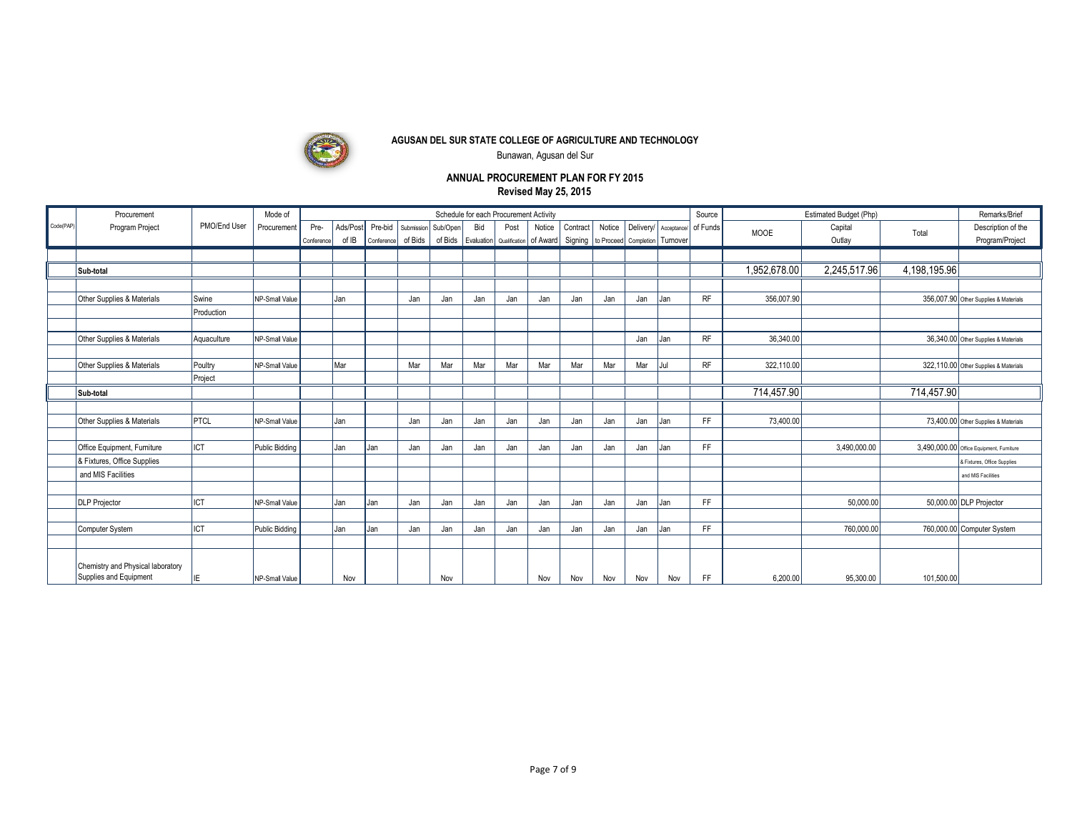

Bunawan, Agusan del Sur

|           | Procurement                                                 |              | Mode of        |            |         |            |            |          |     | Schedule for each Procurement Activity |        |          |        |                                    |                      | Source    |              | Estimated Budget (Php) |              | Remarks/Brief                            |
|-----------|-------------------------------------------------------------|--------------|----------------|------------|---------|------------|------------|----------|-----|----------------------------------------|--------|----------|--------|------------------------------------|----------------------|-----------|--------------|------------------------|--------------|------------------------------------------|
| Code(PAP) | Program Project                                             | PMO/End User | Procurement    | Pre-       | Ads/Pos | Pre-bid    | Submission | Sub/Open | Bid | Post                                   | Notice | Contract | Notice | Deliverv/                          | Acceptance/ of Funds |           | <b>MOOE</b>  | Capital                | Total        | Description of the                       |
|           |                                                             |              |                | Conference | of IB   | Conference | of Bids    | of Bids  |     | Evaluation Qualification of Award      |        | Signing  |        | to Proceed   Completion   Turnover |                      |           |              | Outlay                 |              | Program/Project                          |
|           |                                                             |              |                |            |         |            |            |          |     |                                        |        |          |        |                                    |                      |           |              |                        |              |                                          |
|           | Sub-total                                                   |              |                |            |         |            |            |          |     |                                        |        |          |        |                                    |                      |           | 1,952,678.00 | 2,245,517.96           | 4,198,195.96 |                                          |
|           |                                                             |              |                |            |         |            |            |          |     |                                        |        |          |        |                                    |                      |           |              |                        |              |                                          |
|           | Other Supplies & Materials                                  | Swine        | NP-Small Value |            | Jan     |            | Jan        | Jan      | Jan | Jan                                    | Jan    | Jan      | Jan    | Jan                                | Jan                  | <b>RF</b> | 356,007.90   |                        |              | 356,007.90 Other Supplies & Materials    |
|           |                                                             | Production   |                |            |         |            |            |          |     |                                        |        |          |        |                                    |                      |           |              |                        |              |                                          |
|           |                                                             |              |                |            |         |            |            |          |     |                                        |        |          |        |                                    |                      |           |              |                        |              |                                          |
|           | Other Supplies & Materials                                  | Aquaculture  | NP-Small Value |            |         |            |            |          |     |                                        |        |          |        | Jan                                | Jan                  | <b>RF</b> | 36,340.0     |                        |              | 36,340.00 Other Supplies & Materials     |
|           |                                                             |              |                |            |         |            |            |          |     |                                        |        |          |        |                                    |                      |           |              |                        |              |                                          |
|           | Other Supplies & Materials                                  | Poultry      | NP-Small Value |            | Mar     |            | Mar        | Mar      | Mar | Mar                                    | Mar    | Mar      | Mar    | Mar                                | hil                  | <b>RF</b> | 322,110.00   |                        |              | 322,110.00 Other Supplies & Materials    |
|           |                                                             | Project      |                |            |         |            |            |          |     |                                        |        |          |        |                                    |                      |           |              |                        |              |                                          |
|           | Sub-total                                                   |              |                |            |         |            |            |          |     |                                        |        |          |        |                                    |                      |           | 714,457.90   |                        | 714,457.90   |                                          |
|           |                                                             |              |                |            |         |            |            |          |     |                                        |        |          |        |                                    |                      |           |              |                        |              |                                          |
|           | Other Supplies & Materials                                  | PTCL         | NP-Small Value |            | Jan     |            | Jan        | Jan      | Jan | Jan                                    | Jan    | Jan      | Jan    | Jan                                | Jan                  | FF        | 73,400.00    |                        |              | 73,400.00 Other Supplies & Materials     |
|           |                                                             |              |                |            |         |            |            |          |     |                                        |        |          |        |                                    |                      |           |              |                        |              |                                          |
|           | Office Equipment, Furniture                                 | <b>ICT</b>   | Public Bidding |            | Jan     | Jan        | Jan        | Jan      | Jan | Jan                                    | Jan    | Jan      | Jan    | Jan                                | Jan                  | FF        |              | 3,490,000.00           |              | 3,490,000.00 Office Equipment, Furniture |
|           | & Fixtures, Office Supplies                                 |              |                |            |         |            |            |          |     |                                        |        |          |        |                                    |                      |           |              |                        |              | & Fixtures, Office Supplies              |
|           | and MIS Facilities                                          |              |                |            |         |            |            |          |     |                                        |        |          |        |                                    |                      |           |              |                        |              | and MIS Facilities                       |
|           |                                                             |              |                |            |         |            |            |          |     |                                        |        |          |        |                                    |                      |           |              |                        |              |                                          |
|           | <b>DLP Projector</b>                                        | <b>ICT</b>   | NP-Small Value |            | Jan     | Jan        | Jan        | Jan      | Jan | Jan                                    | Jan    | Jan      | Jan    | Jan                                | Jan                  | FF        |              | 50,000.00              |              | 50,000.00 DLP Projector                  |
|           |                                                             |              |                |            |         |            |            |          |     |                                        |        |          |        |                                    |                      |           |              |                        |              |                                          |
|           | Computer System                                             | IICT         | Public Bidding |            | Jan     | Jan        | Jan        | Jan      | Jan | Jan                                    | Jan    | Jan      | Jan    | Jan                                | Jan                  | FF        |              | 760,000.00             |              | 760,000.00 Computer System               |
|           |                                                             |              |                |            |         |            |            |          |     |                                        |        |          |        |                                    |                      |           |              |                        |              |                                          |
|           |                                                             |              |                |            |         |            |            |          |     |                                        |        |          |        |                                    |                      |           |              |                        |              |                                          |
|           | Chemistry and Physical laboratory<br>Supplies and Equipment | IE           | NP-Small Value |            | Nov     |            |            | Nov      |     |                                        | Nov    | Nov      | Nov    | Nov                                | Nov                  | FF        | 6,200.00     | 95.300.00              | 101,500.00   |                                          |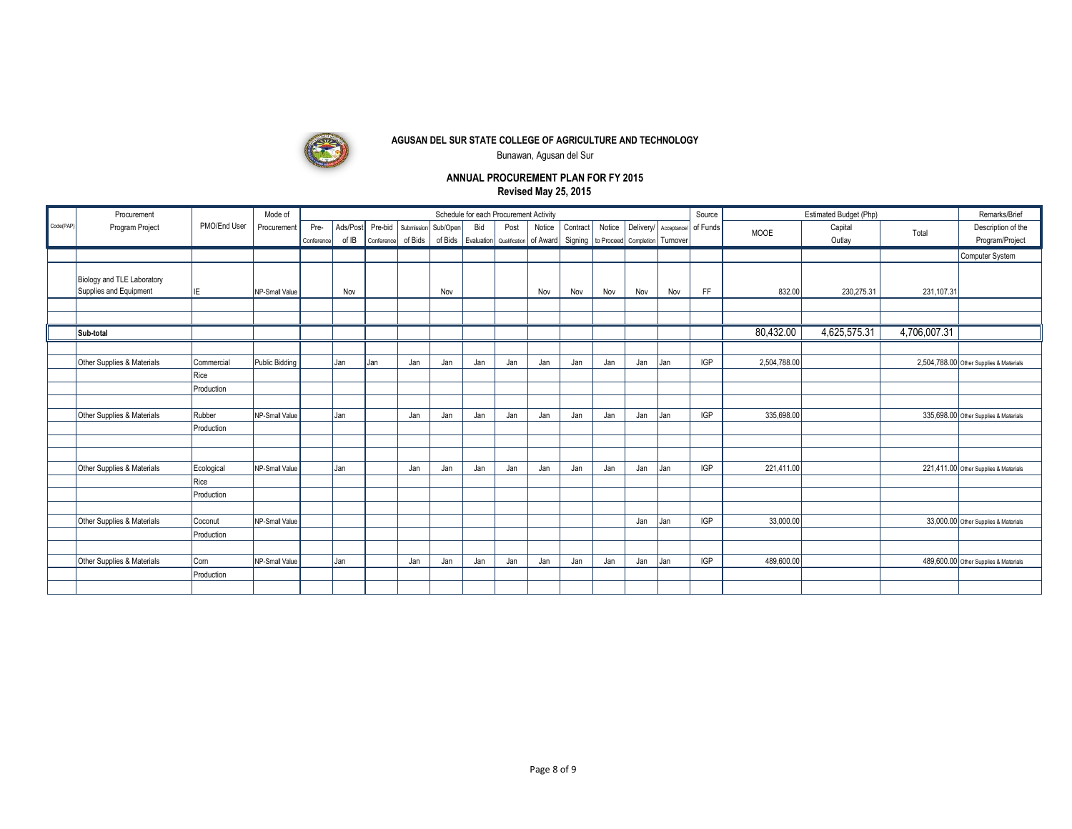

Bunawan, Agusan del Sur

|           | Procurement                                          |                    | Mode of        |            |          |            |                     |     | Schedule for each Procurement Activity |      |        |                                                           |        |                                  |     | Source               |              | Estimated Budget (Php) |              | Remarks/Brief                           |
|-----------|------------------------------------------------------|--------------------|----------------|------------|----------|------------|---------------------|-----|----------------------------------------|------|--------|-----------------------------------------------------------|--------|----------------------------------|-----|----------------------|--------------|------------------------|--------------|-----------------------------------------|
| Code(PAP) | Program Project                                      | PMO/End User       | Procurement    | Pre-       | Ads/Post | Pre-bid    | Submission Sub/Open |     | Bid                                    | Post | Notice | Contract                                                  | Notice | Delivery/                        |     | Acceptance/ of Funds | <b>MOOE</b>  | Capital                | Total        | Description of the                      |
|           |                                                      |                    |                | Conference | of IB    | Conference | of Bids             |     |                                        |      |        | of Bids   Evaluation   Qualification   of Award   Signing |        | to Proceed Completion   Turnover |     |                      |              | Outlay                 |              | Program/Project                         |
|           |                                                      |                    |                |            |          |            |                     |     |                                        |      |        |                                                           |        |                                  |     |                      |              |                        |              | Computer System                         |
|           |                                                      |                    |                |            |          |            |                     |     |                                        |      |        |                                                           |        |                                  |     |                      |              |                        |              |                                         |
|           | Biology and TLE Laboratory<br>Supplies and Equipment |                    |                |            |          |            |                     |     |                                        |      |        |                                                           |        |                                  |     |                      |              |                        |              |                                         |
|           |                                                      | IE.                | NP-Small Value |            | Nov      |            |                     | Nov |                                        |      | Nov    | Nov                                                       | Nov    | Nov                              | Nov | FF                   | 832.00       | 230,275.31             | 231,107.31   |                                         |
|           |                                                      |                    |                |            |          |            |                     |     |                                        |      |        |                                                           |        |                                  |     |                      |              |                        |              |                                         |
|           | Sub-total                                            |                    |                |            |          |            |                     |     |                                        |      |        |                                                           |        |                                  |     |                      | 80,432.00    | 4,625,575.31           | 4,706,007.31 |                                         |
|           |                                                      |                    |                |            |          |            |                     |     |                                        |      |        |                                                           |        |                                  |     |                      |              |                        |              |                                         |
|           |                                                      |                    |                |            |          |            |                     |     |                                        |      |        |                                                           |        |                                  |     |                      |              |                        |              |                                         |
|           | Other Supplies & Materials                           | Commercial         | Public Bidding |            | Jan      | Jan        | Jan                 | Jan | Jan                                    | Jan  | Jan    | Jan                                                       | Jan    | Jan                              | Jan | <b>IGP</b>           | 2,504,788.00 |                        |              | 2,504,788.00 Other Supplies & Materials |
|           |                                                      | Rice<br>Production |                |            |          |            |                     |     |                                        |      |        |                                                           |        |                                  |     |                      |              |                        |              |                                         |
|           |                                                      |                    |                |            |          |            |                     |     |                                        |      |        |                                                           |        |                                  |     |                      |              |                        |              |                                         |
|           | Other Supplies & Materials                           | Rubber             | NP-Small Value |            | Jan      |            | Jan                 | Jan | Jan                                    | Jan  | Jan    | Jan                                                       | Jan    | Jan                              | Jan | <b>IGP</b>           | 335,698.00   |                        |              | 335,698.00 Other Supplies & Materials   |
|           |                                                      | Production         |                |            |          |            |                     |     |                                        |      |        |                                                           |        |                                  |     |                      |              |                        |              |                                         |
|           |                                                      |                    |                |            |          |            |                     |     |                                        |      |        |                                                           |        |                                  |     |                      |              |                        |              |                                         |
|           |                                                      |                    |                |            |          |            |                     |     |                                        |      |        |                                                           |        |                                  |     |                      |              |                        |              |                                         |
|           | Other Supplies & Materials                           | Ecological         | NP-Small Value |            | Jan      |            | Jan                 | Jan | Jan                                    | Jan  | Jan    | Jan                                                       | Jan    | Jan                              | Jan | <b>IGP</b>           | 221,411.00   |                        |              | 221,411.00 Other Supplies & Materials   |
|           |                                                      | Rice               |                |            |          |            |                     |     |                                        |      |        |                                                           |        |                                  |     |                      |              |                        |              |                                         |
|           |                                                      | Production         |                |            |          |            |                     |     |                                        |      |        |                                                           |        |                                  |     |                      |              |                        |              |                                         |
|           |                                                      |                    |                |            |          |            |                     |     |                                        |      |        |                                                           |        |                                  |     |                      |              |                        |              |                                         |
|           | Other Supplies & Materials                           | Coconut            | NP-Small Value |            |          |            |                     |     |                                        |      |        |                                                           |        | Jan                              | Jan | <b>IGP</b>           | 33,000.00    |                        |              | 33,000.00 Other Supplies & Materials    |
|           |                                                      | Production         |                |            |          |            |                     |     |                                        |      |        |                                                           |        |                                  |     |                      |              |                        |              |                                         |
|           |                                                      |                    |                |            |          |            |                     |     |                                        |      |        |                                                           |        |                                  |     |                      |              |                        |              |                                         |
|           | Other Supplies & Materials                           | Corn               | NP-Small Value |            | Jan      |            | Jan                 | Jan | Jan                                    | Jan  | Jan    | Jan                                                       | Jan    | Jan                              | Jan | <b>IGP</b>           | 489,600.00   |                        |              | 489,600.00 Other Supplies & Materials   |
|           |                                                      | Production         |                |            |          |            |                     |     |                                        |      |        |                                                           |        |                                  |     |                      |              |                        |              |                                         |
|           |                                                      |                    |                |            |          |            |                     |     |                                        |      |        |                                                           |        |                                  |     |                      |              |                        |              |                                         |